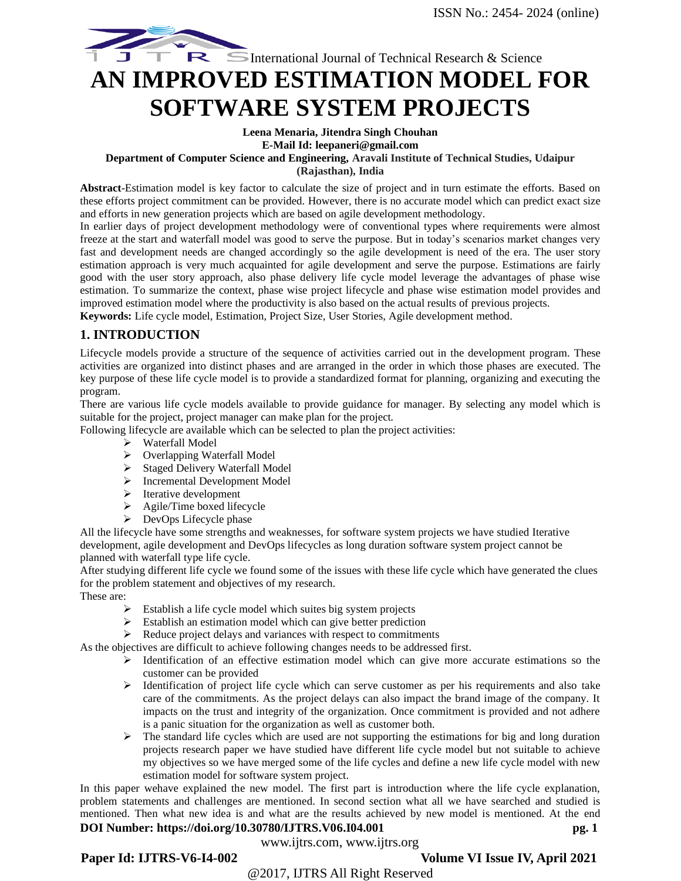# International Journal of Technical Research & Science **AN IMPROVED ESTIMATION MODEL FOR SOFTWARE SYSTEM PROJECTS**

#### **Leena Menaria, Jitendra Singh Chouhan E-Mail Id: leepaneri@gmail.com**

# **Department of Computer Science and Engineering, Aravali Institute of Technical Studies, Udaipur**

**(Rajasthan), India**

**Abstract**-Estimation model is key factor to calculate the size of project and in turn estimate the efforts. Based on these efforts project commitment can be provided. However, there is no accurate model which can predict exact size and efforts in new generation projects which are based on agile development methodology.

In earlier days of project development methodology were of conventional types where requirements were almost freeze at the start and waterfall model was good to serve the purpose. But in today's scenarios market changes very fast and development needs are changed accordingly so the agile development is need of the era. The user story estimation approach is very much acquainted for agile development and serve the purpose. Estimations are fairly good with the user story approach, also phase delivery life cycle model leverage the advantages of phase wise estimation. To summarize the context, phase wise project lifecycle and phase wise estimation model provides and improved estimation model where the productivity is also based on the actual results of previous projects.

**Keywords:** Life cycle model, Estimation, Project Size, User Stories, Agile development method.

# **1. INTRODUCTION**

Lifecycle models provide a structure of the sequence of activities carried out in the development program. These activities are organized into distinct phases and are arranged in the order in which those phases are executed. The key purpose of these life cycle model is to provide a standardized format for planning, organizing and executing the program.

There are various life cycle models available to provide guidance for manager. By selecting any model which is suitable for the project, project manager can make plan for the project.

Following lifecycle are available which can be selected to plan the project activities:

- ➢ Waterfall Model
- ➢ Overlapping Waterfall Model
- ➢ Staged Delivery Waterfall Model
- ➢ Incremental Development Model
- ➢ Iterative development
- ➢ Agile/Time boxed lifecycle
- $\triangleright$  DevOps Lifecycle phase

All the lifecycle have some strengths and weaknesses, for software system projects we have studied Iterative development, agile development and DevOps lifecycles as long duration software system project cannot be planned with waterfall type life cycle.

After studying different life cycle we found some of the issues with these life cycle which have generated the clues for the problem statement and objectives of my research.

These are:

- ➢ Establish a life cycle model which suites big system projects
- ➢ Establish an estimation model which can give better prediction
- ➢ Reduce project delays and variances with respect to commitments

As the objectives are difficult to achieve following changes needs to be addressed first.

- ➢ Identification of an effective estimation model which can give more accurate estimations so the customer can be provided
- ➢ Identification of project life cycle which can serve customer as per his requirements and also take care of the commitments. As the project delays can also impact the brand image of the company. It impacts on the trust and integrity of the organization. Once commitment is provided and not adhere is a panic situation for the organization as well as customer both.
- $\triangleright$  The standard life cycles which are used are not supporting the estimations for big and long duration projects research paper we have studied have different life cycle model but not suitable to achieve my objectives so we have merged some of the life cycles and define a new life cycle model with new estimation model for software system project.

**DOI Number: https://doi.org/10.30780/IJTRS.V06.I04.001** pg. 1 In this paper wehave explained the new model. The first part is introduction where the life cycle explanation, problem statements and challenges are mentioned. In second section what all we have searched and studied is mentioned. Then what new idea is and what are the results achieved by new model is mentioned. At the end

# www.ijtrs.com, www.ijtrs.org

# Paper Id: IJTRS-V6-I4-002 Volume VI Issue IV, April 2021

@2017, IJTRS All Right Reserved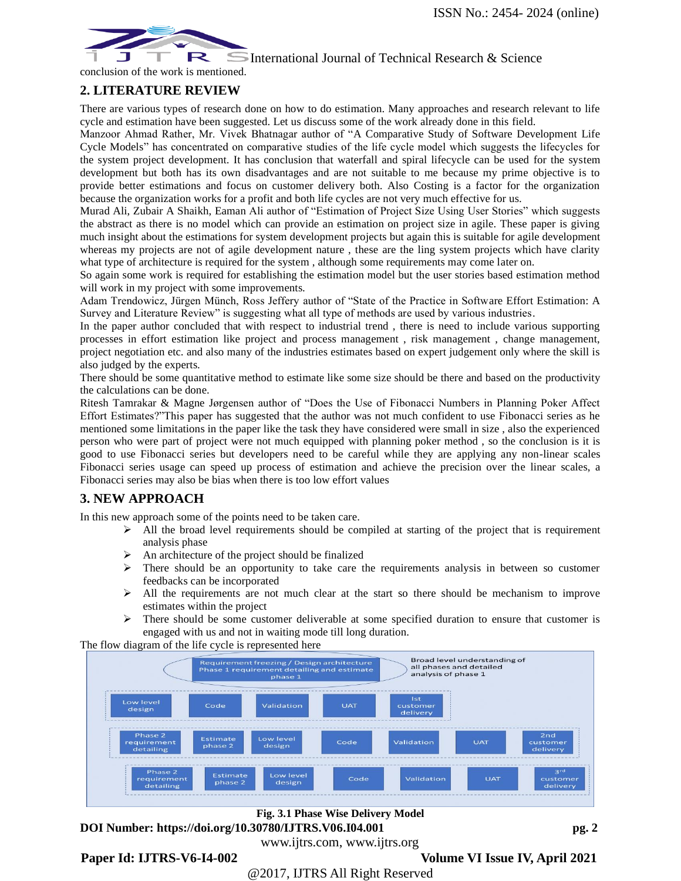# International Journal of Technical Research  $\&$  Science



conclusion of the work is mentioned.

# **2. LITERATURE REVIEW**

There are various types of research done on how to do estimation. Many approaches and research relevant to life cycle and estimation have been suggested. Let us discuss some of the work already done in this field.

Manzoor Ahmad Rather, Mr. Vivek Bhatnagar author of "A Comparative Study of Software Development Life Cycle Models" has concentrated on comparative studies of the life cycle model which suggests the lifecycles for the system project development. It has conclusion that waterfall and spiral lifecycle can be used for the system development but both has its own disadvantages and are not suitable to me because my prime objective is to provide better estimations and focus on customer delivery both. Also Costing is a factor for the organization because the organization works for a profit and both life cycles are not very much effective for us.

Murad Ali, Zubair A Shaikh, Eaman Ali author of "Estimation of Project Size Using User Stories" which suggests the abstract as there is no model which can provide an estimation on project size in agile. These paper is giving much insight about the estimations for system development projects but again this is suitable for agile development whereas my projects are not of agile development nature, these are the ling system projects which have clarity what type of architecture is required for the system , although some requirements may come later on.

So again some work is required for establishing the estimation model but the user stories based estimation method will work in my project with some improvements.

Adam Trendowicz, Jürgen Münch, Ross Jeffery author of "State of the Practice in Software Effort Estimation: A Survey and Literature Review" is suggesting what all type of methods are used by various industries.

In the paper author concluded that with respect to industrial trend , there is need to include various supporting processes in effort estimation like project and process management , risk management , change management, project negotiation etc. and also many of the industries estimates based on expert judgement only where the skill is also judged by the experts.

There should be some quantitative method to estimate like some size should be there and based on the productivity the calculations can be done.

Ritesh Tamrakar & Magne Jørgensen author of "Does the Use of Fibonacci Numbers in Planning Poker Affect Effort Estimates?"This paper has suggested that the author was not much confident to use Fibonacci series as he mentioned some limitations in the paper like the task they have considered were small in size , also the experienced person who were part of project were not much equipped with planning poker method , so the conclusion is it is good to use Fibonacci series but developers need to be careful while they are applying any non-linear scales Fibonacci series usage can speed up process of estimation and achieve the precision over the linear scales, a Fibonacci series may also be bias when there is too low effort values

# **3. NEW APPROACH**

In this new approach some of the points need to be taken care.

- $\triangleright$  All the broad level requirements should be compiled at starting of the project that is requirement analysis phase
- ➢ An architecture of the project should be finalized
- $\triangleright$  There should be an opportunity to take care the requirements analysis in between so customer feedbacks can be incorporated
- ➢ All the requirements are not much clear at the start so there should be mechanism to improve estimates within the project
- $\triangleright$  There should be some customer deliverable at some specified duration to ensure that customer is engaged with us and not in waiting mode till long duration.

The flow diagram of the life cycle is represented here



www.ijtrs.com, www.ijtrs.org

**DOI Number: https://doi.org/10.30780/IJTRS.V06.I04.001 pg. 2 Fig. 3.1 Phase Wise Delivery Model**

Paper Id: IJTRS-V6-I4-002 **Volume VI Issue IV, April 2021** 

@2017, IJTRS All Right Reserved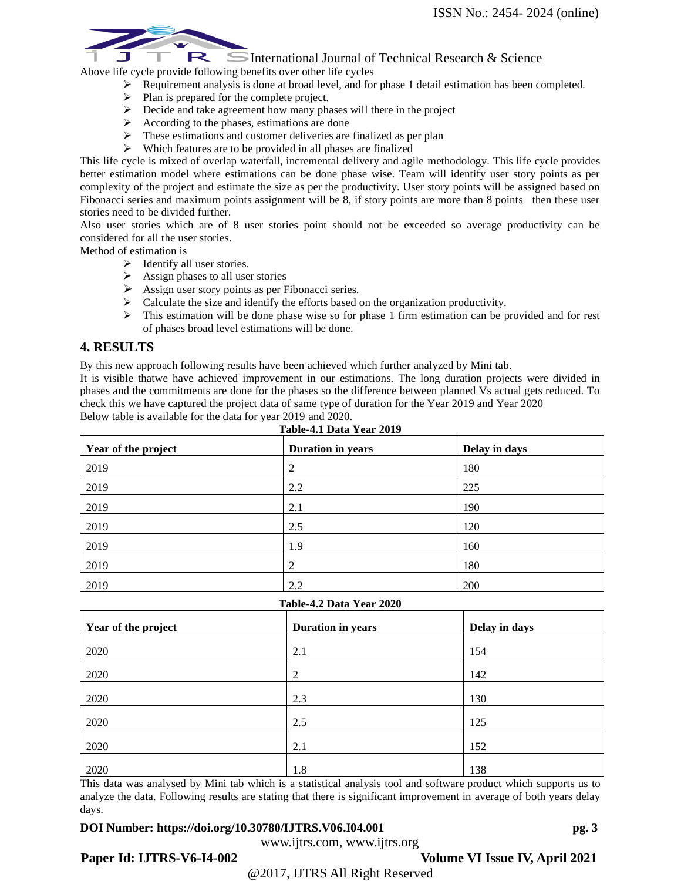#### R  $\Box$  International Journal of Technical Research & Science Above life cycle provide following benefits over other life cycles

- ➢ Requirement analysis is done at broad level, and for phase 1 detail estimation has been completed.
- ➢ Plan is prepared for the complete project.
- ➢ Decide and take agreement how many phases will there in the project
- $\triangleright$  According to the phases, estimations are done
- These estimations and customer deliveries are finalized as per plan
- ➢ Which features are to be provided in all phases are finalized

This life cycle is mixed of overlap waterfall, incremental delivery and agile methodology. This life cycle provides better estimation model where estimations can be done phase wise. Team will identify user story points as per complexity of the project and estimate the size as per the productivity. User story points will be assigned based on Fibonacci series and maximum points assignment will be 8, if story points are more than 8 points then these user stories need to be divided further.

Also user stories which are of 8 user stories point should not be exceeded so average productivity can be considered for all the user stories.

Method of estimation is

- ➢ Identify all user stories.
- $\triangleright$  Assign phases to all user stories
- $\triangleright$  Assign user story points as per Fibonacci series.
- $\triangleright$  Calculate the size and identify the efforts based on the organization productivity.
- $\triangleright$  This estimation will be done phase wise so for phase 1 firm estimation can be provided and for rest of phases broad level estimations will be done.

### **4. RESULTS**

By this new approach following results have been achieved which further analyzed by Mini tab.

It is visible thatwe have achieved improvement in our estimations. The long duration projects were divided in phases and the commitments are done for the phases so the difference between planned Vs actual gets reduced. To check this we have captured the project data of same type of duration for the Year 2019 and Year 2020 Below table is available for the data for year 2019 and 2020.

| Year of the project | Duration in years | Delay in days |  |
|---------------------|-------------------|---------------|--|
| 2019                | 2                 | 180           |  |
| 2019                | 2.2               | 225           |  |
| 2019                | 2.1               | 190           |  |
| 2019                | 2.5               | 120           |  |
| 2019                | 1.9               | 160           |  |
| 2019                | 2                 | 180           |  |
| 2019                | 2.2               | 200           |  |

#### **Table-4.1 Data Year 2019**

### **Table-4.2 Data Year 2020**

| Year of the project | Duration in years | Delay in days |
|---------------------|-------------------|---------------|
| 2020                | 2.1               | 154           |
| 2020                | 2                 | 142           |
| 2020                | 2.3               | 130           |
| 2020                | 2.5               | 125           |
| 2020                | 2.1               | 152           |
| 2020                | 1.8               | 138           |

This data was analysed by Mini tab which is a statistical analysis tool and software product which supports us to analyze the data. Following results are stating that there is significant improvement in average of both years delay days.

### **DOI Number: https://doi.org/10.30780/IJTRS.V06.I04.001** pg. 3

www.ijtrs.com, www.ijtrs.org @2017, IJTRS All Right Reserved

Paper Id: IJTRS-V6-I4-002 **Volume VI Issue IV, April 2021**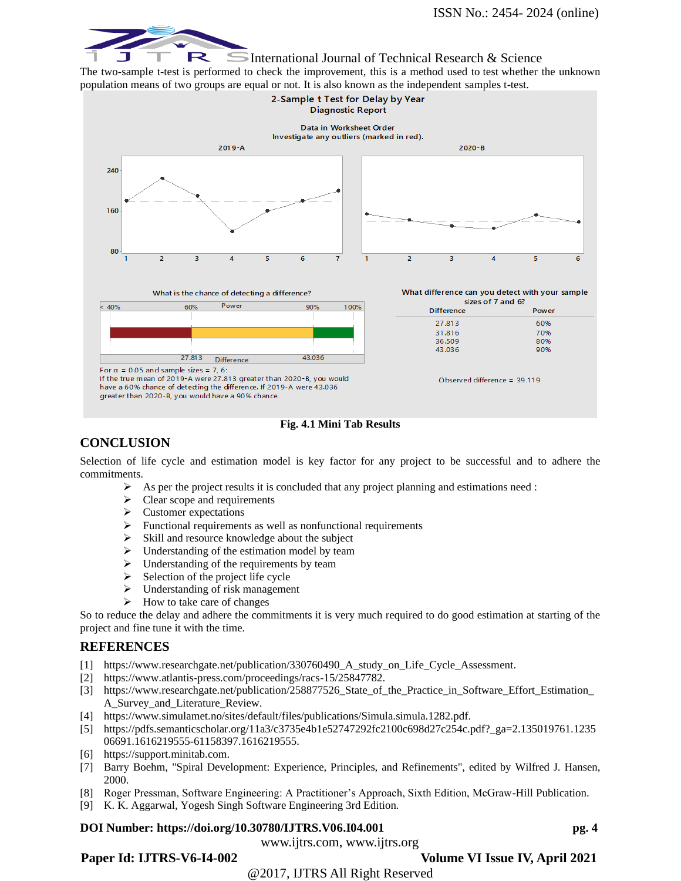

International Journal of Technical Research  $\&$  Science

The two-sample t-test is performed to check the improvement, this is a method used to test whether the unknown population means of two groups are equal or not. It is also known as the independent samples t-test.



#### **Fig. 4.1 Mini Tab Results**

# **CONCLUSION**

Selection of life cycle and estimation model is key factor for any project to be successful and to adhere the commitments.

- $\triangleright$  As per the project results it is concluded that any project planning and estimations need :
- $\geq$  Clear scope and requirements<br> $\geq$  Customer expectations
- ➢ Customer expectations
- ➢ Functional requirements as well as nonfunctional requirements
- ➢ Skill and resource knowledge about the subject
- ➢ Understanding of the estimation model by team
- ➢ Understanding of the requirements by team
- $\triangleright$  Selection of the project life cycle
- $\triangleright$  Understanding of risk management
- $\triangleright$  How to take care of changes

So to reduce the delay and adhere the commitments it is very much required to do good estimation at starting of the project and fine tune it with the time.

### **REFERENCES**

- [1] https://www.researchgate.net/publication/330760490\_A\_study\_on\_Life\_Cycle\_Assessment.
- [2] https://www.atlantis-press.com/proceedings/racs-15/25847782.
- [3] https://www.researchgate.net/publication/258877526\_State\_of\_the\_Practice\_in\_Software\_Effort\_Estimation\_ A\_Survey\_and\_Literature\_Review.
- [4] https://www.simulamet.no/sites/default/files/publications/Simula.simula.1282.pdf.
- [5] https://pdfs.semanticscholar.org/11a3/c3735e4b1e52747292fc2100c698d27c254c.pdf?\_ga=2.135019761.1235 06691.1616219555-61158397.1616219555.
- [6] https://support.minitab.com.
- [7] Barry Boehm, "Spiral Development: Experience, Principles, and Refinements", edited by Wilfred J. Hansen, 2000.
- [8] Roger Pressman, Software Engineering: A Practitioner's Approach, Sixth Edition, McGraw-Hill Publication.
- [9] K. K. Aggarwal, Yogesh Singh Software Engineering 3rd Edition.

### **DOI Number: https://doi.org/10.30780/IJTRS.V06.I04.001** pg. 4

www.ijtrs.com, www.ijtrs.org Paper Id: IJTRS-V6-I4-002 Volume VI Issue IV, April 2021

@2017, IJTRS All Right Reserved